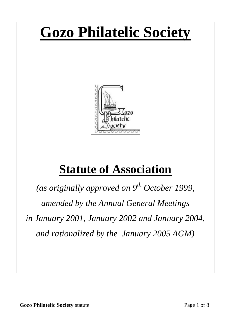# **Gozo Philatelic Society**



# **Statute of Association**

*(as originally approved on 9th October 1999, amended by the Annual General Meetings in January 2001, January 2002 and January 2004, and rationalized by the January 2005 AGM)*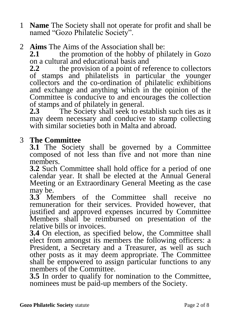- 1 **Name** The Society shall not operate for profit and shall be named "Gozo Philatelic Society".
- 2 **Aims** The Aims of the Association shall be:<br>2.1 the promotion of the hobby of phi

**2.1** the promotion of the hobby of philately in Gozo on a cultural and educational basis and

**2.2** the provision of a point of reference to collectors of stamps and philatelists in particular the younger collectors and the co-ordination of philatelic exhibitions and exchange and anything which in the opinion of the Committee is conducive to and encourages the collection of stamps and of philately in general.

**2.3** The Society shall seek to establish such ties as it may deem necessary and conducive to stamp collecting with similar societies both in Malta and abroad.

# 3 **The Committee**

**3.1** The Society shall be governed by a Committee composed of not less than five and not more than nine members.

**3.2** Such Committee shall hold office for a period of one calendar year. It shall be elected at the Annual General Meeting or an Extraordinary General Meeting as the case may be.

**3.3** Members of the Committee shall receive no remuneration for their services. Provided however, that justified and approved expenses incurred by Committee Members shall be reimbursed on presentation of the relative bills or invoices.

**3.4** On election, as specified below, the Committee shall elect from amongst its members the following officers: a President, a Secretary and a Treasurer, as well as such other posts as it may deem appropriate. The Committee shall be empowered to assign particular functions to any members of the Committee.

**3.5** In order to qualify for nomination to the Committee, nominees must be paid-up members of the Society.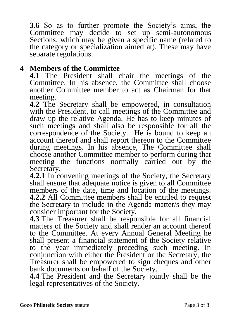**3.6** So as to further promote the Society's aims, the Committee may decide to set up semi-autonomous Sections, which may be given a specific name (related to the category or specialization aimed at). These may have separate regulations.

#### 4 **Members of the Committee**

**4.1** The President shall chair the meetings of the Committee. In his absence, the Committee shall choose another Committee member to act as Chairman for that meeting.

**4.2** The Secretary shall be empowered, in consultation with the President, to call meetings of the Committee and draw up the relative Agenda. He has to keep minutes of such meetings and shall also be responsible for all the correspondence of the Society. He is bound to keep an account thereof and shall report thereon to the Committee during meetings. In his absence, The Committee shall choose another Committee member to perform during that meeting the functions normally carried out by the Secretary.

**4.2.1** In convening meetings of the Society, the Secretary shall ensure that adequate notice is given to all Committee members of the date, time and location of the meetings. **4.2.2** All Committee members shall be entitled to request the Secretary to include in the Agenda matter/s they may consider important for the Society.

**4.3** The Treasurer shall be responsible for all financial matters of the Society and shall render an account thereof to the Committee. At every Annual General Meeting he shall present a financial statement of the Society relative to the year immediately preceding such meeting. In conjunction with either the President or the Secretary, the Treasurer shall be empowered to sign cheques and other bank documents on behalf of the Society.

**4.4** The President and the Secretary jointly shall be the legal representatives of the Society.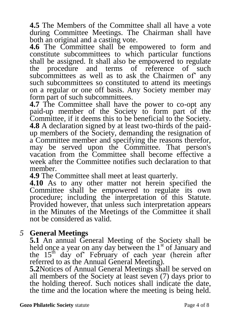**4.5** The Members of the Committee shall all have a vote during Committee Meetings. The Chairman shall have both an original and a casting vote.

**4.6** The Committee shall be empowered to form and constitute subcommittees to which particular functions shall be assigned. It shall also be empowered to regulate the procedure and terms of reference of such the procedure and terms of reference subcommittees as well as to ask the Chairmen of' any such subcommittees so constituted to attend its meetings on a regular or one off basis. Any Society member may form part of such subcommittees.

**4.7** The Committee shall have the power to co-opt any paid-up member of the Society to form part of the Committee, if it deems this to be beneficial to the Society. **4.8** A declaration signed by at least two-thirds of the paidup members of the Society, demanding the resignation of a Committee member and specifying the reasons therefor, may be served upon the Committee. That person's vacation from the Committee shall become effective a week after the Committee notifies such declaration to that member.

**4.9** The Committee shall meet at least quarterly.

**4.10** As to any other matter not herein specified the Committee shall be empowered to regulate its own procedure; including the interpretation of this Statute. Provided however, that unless such interpretation appears in the Minutes of the Meetings of the Committee it shall not be considered as valid.

### *5* **General Meetings**

**5.1** An annual General Meeting of the Society shall be held once a year on any day between the  $1<sup>st</sup>$  of January and the 15<sup>th</sup> day of February of each year (herein after referred to as the Annual General Meeting).

**5.2**Notices of Annual General Meetings shall be served on all members of the Society at least seven (7) days prior to the holding thereof. Such notices shall indicate the date, the time and the location where the meeting is being held.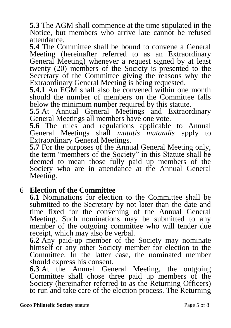**5.3** The AGM shall commence at the time stipulated in the Notice, but members who arrive late cannot be refused attendance.

**5.4** The Committee shall be bound to convene a General Meeting (hereinafter referred to as an Extraordinary General Meeting) whenever a request signed by at least twenty (20) members of the Society is presented to the Secretary of the Committee giving the reasons why the Extraordinary General Meeting is being requested.

**5.4.1** An EGM shall also be convened within one month should the number of members on the Committee falls below the minimum number required by this statute.

**5.5** At Annual General Meetings and Extraordinary General Meetings all members have one vote.

**5.6** The rules and regulations applicable to Annual General Meetings shall *mutatis mutandis* apply to Extraordinary General Meetings.

**5.7** For the purposes of the Annual General Meeting only, the term "members of the Society" in this Statute shall be deemed to mean those fully paid up members of the Society who are in attendance at the Annual General Meeting.

### 6 **Election of the Committee**

**6.1** Nominations for election to the Committee shall be submitted to the Secretary by not later than the date and time fixed for the convening of the Annual General Meeting. Such nominations may be submitted to any member of the outgoing committee who will tender due receipt, which may also be verbal.

**6.2** Any paid-up member of the Society may nominate himself or any other Society member for election to the Committee. In the latter case, the nominated member should express his consent.

**6.3** At the Annual General Meeting, the outgoing Committee shall chose three paid up members of the Society (hereinafter referred to as the Returning Officers) to run and take care of the election process. The Returning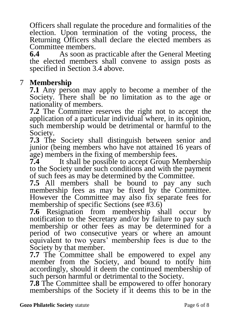Officers shall regulate the procedure and formalities of the election. Upon termination of the voting process, the Returning Officers shall declare the elected members as Committee members.<br>6.4 As soon as 1

**6.4** As soon as practicable after the General Meeting the elected members shall convene to assign posts as specified in Section 3.4 above.

# 7 **Membership**

**7.1** Any person may apply to become a member of the Society. There shall be no limitation as to the age or nationality of members.

**7.2** The Committee reserves the right not to accept the application of a particular individual where, in its opinion, such membership would be detrimental or harmful to the Society.

**7.3** The Society shall distinguish between senior and junior (being members who have not attained 16 years of age) members in the fixing of membership fees.

**7.4** It shall be possible to accept Group Membership to the Society under such conditions and with the payment of such fees as may be determined by the Committee.

**7.5** All members shall be bound to pay any such membership fees as may be fixed by the Committee. However the Committee may also fix separate fees for membership of specific Sections (see #3.6)

**7.6** Resignation from membership shall occur by notification to the Secretary and/or by failure to pay such membership or other fees as may be determined for a period of two consecutive years or where an amount equivalent to two years' membership fees is due to the Society by that member.

**7.7** The Committee shall be empowered to expel any member from the Society, and bound to notify him accordingly, should it deem the continued membership of such person harmful or detrimental to the Society.

**7.8** The Committee shall be empowered to offer honorary memberships of the Society if it deems this to be in the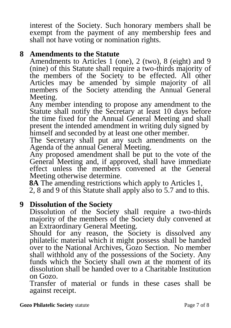interest of the Society. Such honorary members shall be exempt from the payment of any membership fees and shall not have voting or nomination rights.

#### **8 Amendments to the Statute**

Amendments to Articles 1 (one), 2 (two), 8 (eight) and 9 (nine) of this Statute shall require a two-thirds majority of the members of the Society to be effected. All other Articles may be amended by simple majority of all members of the Society attending the Annual General Meeting.

Any member intending to propose any amendment to the Statute shall notify the Secretary at least 10 days before the time fixed for the Annual General Meeting and shall present the intended amendment in writing duly signed by himself and seconded by at least one other member.

The Secretary shall put any such amendments on the Agenda of the annual General Meeting.

Any proposed amendment shall be put to the vote of the General Meeting and, if approved, shall have immediate effect unless the members convened at the General Meeting otherwise determine.

 **8A** The amending restrictions which apply to Articles 1,

2, 8 and 9 of this Statute shall apply also to 5.7 and to this.

#### **9 Dissolution of the Society**

Dissolution of the Society shall require a two-thirds majority of the members of the Society duly convened at an Extraordinary General Meeting.

Should for any reason, the Society is dissolved any philatelic material which it might possess shall be handed over to the National Archives, Gozo Section. No member shall withhold any of the possessions of the Society. Any funds which the Society shall own at the moment of its dissolution shall be handed over to a Charitable Institution on Gozo.

Transfer of material or funds in these cases shall be against receipt.